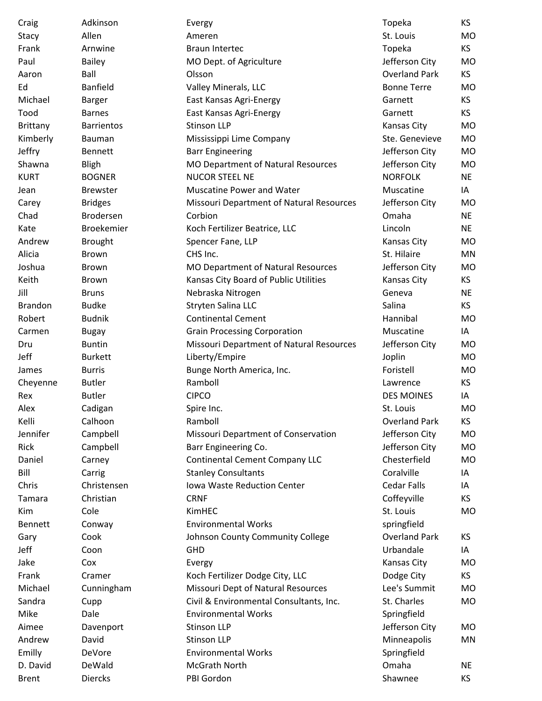| Craig            | Adkinson          | Evergy                                         | Topeka               | <b>KS</b> |
|------------------|-------------------|------------------------------------------------|----------------------|-----------|
| Stacy            | Allen             | Ameren                                         | St. Louis            | <b>MO</b> |
| Frank            | Arnwine           | <b>Braun Intertec</b>                          | Topeka               | KS.       |
| Paul             | <b>Bailey</b>     | MO Dept. of Agriculture                        | Jefferson City       | <b>MO</b> |
| Aaron            | Ball              | Olsson                                         | <b>Overland Park</b> | KS        |
| Ed               | <b>Banfield</b>   | Valley Minerals, LLC                           | <b>Bonne Terre</b>   | <b>MO</b> |
| Michael          | <b>Barger</b>     | East Kansas Agri-Energy                        | Garnett              | KS        |
| Tood             | <b>Barnes</b>     | East Kansas Agri-Energy                        | Garnett              | KS        |
| Brittany         | <b>Barrientos</b> | <b>Stinson LLP</b>                             | <b>Kansas City</b>   | <b>MO</b> |
| Kimberly         | Bauman            | Mississippi Lime Company                       | Ste. Genevieve       | <b>MO</b> |
| Jeffry           | <b>Bennett</b>    | <b>Barr Engineering</b>                        | Jefferson City       | <b>MO</b> |
| Shawna           | <b>Bligh</b>      | MO Department of Natural Resources             | Jefferson City       | MO        |
| <b>KURT</b>      | <b>BOGNER</b>     | <b>NUCOR STEEL NE</b>                          | <b>NORFOLK</b>       | <b>NE</b> |
| Jean             | <b>Brewster</b>   | <b>Muscatine Power and Water</b>               | Muscatine            | IA        |
| Carey            | <b>Bridges</b>    | Missouri Department of Natural Resources       | Jefferson City       | MO        |
| Chad             | <b>Brodersen</b>  | Corbion                                        | Omaha                | <b>NE</b> |
| Kate             | <b>Broekemier</b> | Koch Fertilizer Beatrice, LLC                  | Lincoln              | <b>NE</b> |
| Andrew           | <b>Brought</b>    | Spencer Fane, LLP                              | <b>Kansas City</b>   | <b>MO</b> |
| Alicia           | <b>Brown</b>      | CHS Inc.                                       | St. Hilaire          | MN        |
| Joshua           | <b>Brown</b>      | <b>MO Department of Natural Resources</b>      | Jefferson City       | MO        |
| Keith            | <b>Brown</b>      | Kansas City Board of Public Utilities          | Kansas City          | KS.       |
| Jill             | <b>Bruns</b>      | Nebraska Nitrogen                              | Geneva               | <b>NE</b> |
| <b>Brandon</b>   | <b>Budke</b>      | Stryten Salina LLC                             | Salina               | KS        |
| Robert           | <b>Budnik</b>     | <b>Continental Cement</b>                      | Hannibal             | MO        |
| Carmen           | <b>Bugay</b>      | <b>Grain Processing Corporation</b>            | Muscatine            | IA        |
| Dru              | <b>Buntin</b>     | Missouri Department of Natural Resources       | Jefferson City       | MO        |
| Jeff             | <b>Burkett</b>    | Liberty/Empire                                 | Joplin               | MO        |
| James            | <b>Burris</b>     | Bunge North America, Inc.                      | Foristell            | <b>MO</b> |
| Cheyenne         | <b>Butler</b>     | Ramboll                                        | Lawrence             | KS        |
| Rex              | <b>Butler</b>     | <b>CIPCO</b>                                   | <b>DES MOINES</b>    | IA        |
| Alex             | Cadigan           | Spire Inc.                                     | St. Louis            | <b>MO</b> |
| Kelli            | Calhoon           | Ramboll                                        | <b>Overland Park</b> | <b>KS</b> |
| Jennifer         | Campbell          | Missouri Department of Conservation            | Jefferson City       | <b>MO</b> |
| Rick             | Campbell          | Barr Engineering Co.                           | Jefferson City       | MO        |
| Daniel           | Carney            | <b>Continental Cement Company LLC</b>          | Chesterfield         | <b>MO</b> |
| Bill             | Carrig            | <b>Stanley Consultants</b>                     | Coralville           | IA        |
| Chris            | Christensen       | Iowa Waste Reduction Center                    | <b>Cedar Falls</b>   | IA        |
| Tamara           | Christian         | <b>CRNF</b>                                    | Coffeyville          | KS        |
| Kim              | Cole              | KimHEC                                         | St. Louis            | MO        |
| <b>Bennett</b>   |                   | <b>Environmental Works</b>                     | springfield          |           |
|                  | Conway<br>Cook    |                                                | <b>Overland Park</b> | KS.       |
| Gary<br>Jeff     | Coon              | Johnson County Community College<br><b>GHD</b> | Urbandale            | IA        |
| Jake             |                   |                                                |                      |           |
|                  | Cox               | Evergy                                         | Kansas City          | MO        |
| Frank<br>Michael | Cramer            | Koch Fertilizer Dodge City, LLC                | Dodge City           | KS        |
|                  | Cunningham        | Missouri Dept of Natural Resources             | Lee's Summit         | <b>MO</b> |
| Sandra           | Cupp              | Civil & Environmental Consultants, Inc.        | St. Charles          | MO        |
| Mike             | Dale              | <b>Environmental Works</b>                     | Springfield          |           |
| Aimee            | Davenport         | <b>Stinson LLP</b>                             | Jefferson City       | MO.       |
| Andrew           | David             | <b>Stinson LLP</b>                             | Minneapolis          | MN        |
| Emilly           | DeVore            | <b>Environmental Works</b>                     | Springfield          |           |
| D. David         | DeWald            | McGrath North                                  | Omaha                | <b>NE</b> |
| <b>Brent</b>     | <b>Diercks</b>    | PBI Gordon                                     | Shawnee              | KS        |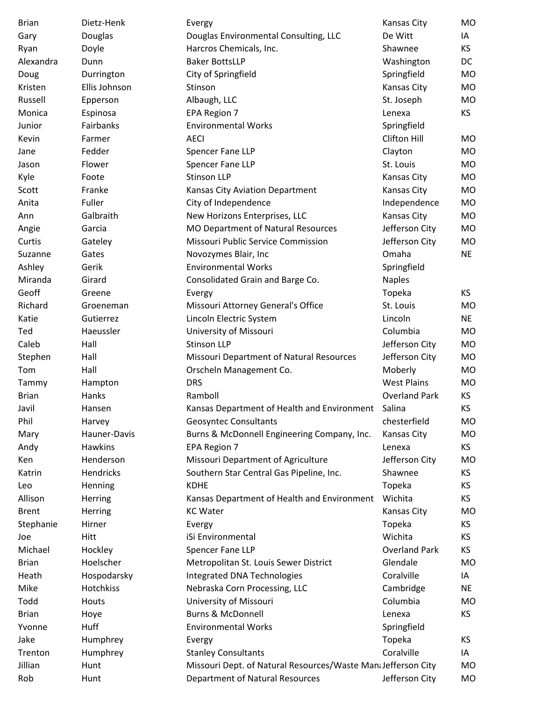| <b>Brian</b> | Dietz-Henk    | Evergy                                                       | <b>Kansas City</b>   | MO        |
|--------------|---------------|--------------------------------------------------------------|----------------------|-----------|
| Gary         | Douglas       | Douglas Environmental Consulting, LLC                        | De Witt              | IA        |
| Ryan         | Doyle         | Harcros Chemicals, Inc.                                      | Shawnee              | KS        |
| Alexandra    | Dunn          | <b>Baker BottsLLP</b>                                        | Washington           | DC        |
| Doug         | Durrington    | City of Springfield                                          | Springfield          | MO        |
| Kristen      | Ellis Johnson | Stinson                                                      | Kansas City          | MO        |
| Russell      | Epperson      | Albaugh, LLC                                                 | St. Joseph           | MO        |
| Monica       | Espinosa      | <b>EPA Region 7</b>                                          | Lenexa               | KS        |
| Junior       | Fairbanks     | <b>Environmental Works</b>                                   | Springfield          |           |
| Kevin        | Farmer        | <b>AECI</b>                                                  | Clifton Hill         | MO.       |
| Jane         | Fedder        | Spencer Fane LLP                                             | Clayton              | MO        |
| Jason        | Flower        | Spencer Fane LLP                                             | St. Louis            | MO        |
| Kyle         | Foote         | <b>Stinson LLP</b>                                           | Kansas City          | MO        |
| Scott        | Franke        | Kansas City Aviation Department                              | Kansas City          | MO        |
| Anita        | Fuller        | City of Independence                                         | Independence         | MO        |
| Ann          | Galbraith     | New Horizons Enterprises, LLC                                | Kansas City          | MO        |
| Angie        | Garcia        | MO Department of Natural Resources                           | Jefferson City       | MO        |
| Curtis       | Gateley       | Missouri Public Service Commission                           | Jefferson City       | MO        |
| Suzanne      | Gates         | Novozymes Blair, Inc                                         | Omaha                | <b>NE</b> |
| Ashley       | Gerik         | <b>Environmental Works</b>                                   | Springfield          |           |
| Miranda      | Girard        | Consolidated Grain and Barge Co.                             | <b>Naples</b>        |           |
| Geoff        | Greene        | Evergy                                                       | Topeka               | KS.       |
| Richard      | Groeneman     | Missouri Attorney General's Office                           | St. Louis            | MO        |
| Katie        | Gutierrez     | Lincoln Electric System                                      | Lincoln              | <b>NE</b> |
| Ted          | Haeussler     | University of Missouri                                       | Columbia             | MO        |
| Caleb        | Hall          | <b>Stinson LLP</b>                                           | Jefferson City       | MO        |
| Stephen      | Hall          | Missouri Department of Natural Resources                     | Jefferson City       | MO        |
| Tom          | Hall          | Orscheln Management Co.                                      | Moberly              | MO        |
| Tammy        | Hampton       | <b>DRS</b>                                                   | <b>West Plains</b>   | MO        |
| <b>Brian</b> | Hanks         | Ramboll                                                      | <b>Overland Park</b> | KS.       |
| Javil        | Hansen        | Kansas Department of Health and Environment                  | Salina               | KS        |
| Phil         | Harvey        | <b>Geosyntec Consultants</b>                                 | chesterfield         | MO        |
| Mary         | Hauner-Davis  | Burns & McDonnell Engineering Company, Inc.                  | Kansas City          | MO        |
| Andy         | Hawkins       | EPA Region 7                                                 | Lenexa               | KS.       |
| Ken          | Henderson     | Missouri Department of Agriculture                           | Jefferson City       | <b>MO</b> |
| Katrin       | Hendricks     | Southern Star Central Gas Pipeline, Inc.                     | Shawnee              | KS.       |
| Leo          | Henning       | <b>KDHE</b>                                                  | Topeka               | KS.       |
| Allison      | Herring       | Kansas Department of Health and Environment                  | Wichita              | ΚS        |
| <b>Brent</b> | Herring       | <b>KC Water</b>                                              | Kansas City          | MO        |
| Stephanie    | Hirner        | Evergy                                                       | Topeka               | <b>KS</b> |
| Joe          | Hitt          | iSi Environmental                                            | Wichita              | KS        |
| Michael      | Hockley       | Spencer Fane LLP                                             | <b>Overland Park</b> | KS.       |
| <b>Brian</b> | Hoelscher     | Metropolitan St. Louis Sewer District                        | Glendale             | MO        |
| Heath        | Hospodarsky   | Integrated DNA Technologies                                  | Coralville           | IA        |
| Mike         | Hotchkiss     | Nebraska Corn Processing, LLC                                | Cambridge            | <b>NE</b> |
| Todd         | Houts         | University of Missouri                                       | Columbia             | MO        |
| <b>Brian</b> | Hoye          | <b>Burns &amp; McDonnell</b>                                 | Lenexa               | KS        |
| Yvonne       | Huff          | <b>Environmental Works</b>                                   | Springfield          |           |
| Jake         | Humphrey      |                                                              | Topeka               | KS.       |
| Trenton      | Humphrey      | Evergy<br><b>Stanley Consultants</b>                         | Coralville           | IA        |
| Jillian      | Hunt          | Missouri Dept. of Natural Resources/Waste MandJefferson City |                      | MO        |
| Rob          | Hunt          | <b>Department of Natural Resources</b>                       | Jefferson City       | <b>MO</b> |
|              |               |                                                              |                      |           |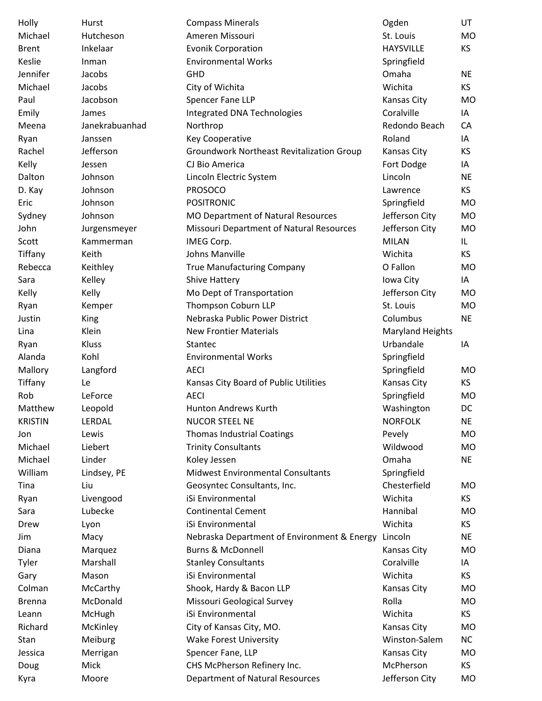| Holly          | Hurst          | <b>Compass Minerals</b>                          | Ogden                                | UT        |
|----------------|----------------|--------------------------------------------------|--------------------------------------|-----------|
| Michael        | Hutcheson      | Ameren Missouri                                  | St. Louis                            | MO        |
| <b>Brent</b>   | Inkelaar       | <b>Evonik Corporation</b>                        | <b>HAYSVILLE</b>                     | KS        |
| Keslie         | Inman          | <b>Environmental Works</b>                       | Springfield                          |           |
| Jennifer       | Jacobs         | GHD                                              | Omaha                                | <b>NE</b> |
| Michael        | Jacobs         | City of Wichita                                  | Wichita                              | KS.       |
| Paul           | Jacobson       | Spencer Fane LLP                                 | Kansas City                          | <b>MO</b> |
| Emily          | James          | Integrated DNA Technologies                      | Coralville                           | IA        |
| Meena          | Janekrabuanhad | Northrop                                         | Redondo Beach                        | CA        |
| Ryan           | Janssen        | <b>Key Cooperative</b>                           | Roland                               | IA        |
| Rachel         | Jefferson      | <b>Groundwork Northeast Revitalization Group</b> | <b>Kansas City</b>                   | KS.       |
| Kelly          | Jessen         | CJ Bio America                                   | Fort Dodge                           | IA        |
| Dalton         | Johnson        | Lincoln Electric System                          | Lincoln                              | <b>NE</b> |
| D. Kay         | Johnson        | <b>PROSOCO</b>                                   | Lawrence                             | KS        |
| Eric           | Johnson        | <b>POSITRONIC</b>                                | Springfield                          | MO.       |
| Sydney         | Johnson        | MO Department of Natural Resources               | Jefferson City                       | MO        |
| John           | Jurgensmeyer   | Missouri Department of Natural Resources         | Jefferson City                       | MO        |
| Scott          | Kammerman      | IMEG Corp.                                       | <b>MILAN</b>                         | IL.       |
| Tiffany        | Keith          | Johns Manville                                   | Wichita                              | KS        |
| Rebecca        | Keithley       | <b>True Manufacturing Company</b>                | O Fallon                             | MO        |
| Sara           | Kelley         | <b>Shive Hattery</b>                             | Iowa City                            | IA        |
| Kelly          | Kelly          | Mo Dept of Transportation                        | Jefferson City                       | MO        |
| Ryan           | Kemper         | Thompson Coburn LLP                              | St. Louis                            | MO        |
| Justin         | King           | Nebraska Public Power District                   | Columbus                             | <b>NE</b> |
|                | Klein          | <b>New Frontier Materials</b>                    |                                      |           |
| Lina           |                |                                                  | <b>Maryland Heights</b><br>Urbandale |           |
| Ryan           | Kluss          | Stantec                                          |                                      | ΙA        |
| Alanda         | Kohl           | <b>Environmental Works</b>                       | Springfield                          |           |
| Mallory        | Langford       | <b>AECI</b>                                      | Springfield                          | MO        |
| Tiffany        | Le             | Kansas City Board of Public Utilities            | Kansas City                          | KS.       |
| Rob            | LeForce        | <b>AECI</b>                                      | Springfield                          | MO        |
| Matthew        | Leopold        | Hunton Andrews Kurth                             | Washington                           | DC        |
| <b>KRISTIN</b> | LERDAL         | <b>NUCOR STEEL NE</b>                            | <b>NORFOLK</b>                       | <b>NE</b> |
| Jon            | Lewis          | <b>Thomas Industrial Coatings</b>                | Pevely                               | MO        |
| Michael        | Liebert        | <b>Trinity Consultants</b>                       | Wildwood                             | MO        |
| Michael        | Linder         | Koley Jessen                                     | Omaha                                | <b>NE</b> |
| William        | Lindsey, PE    | <b>Midwest Environmental Consultants</b>         | Springfield                          |           |
| Tina           | Liu            | Geosyntec Consultants, Inc.                      | Chesterfield                         | MO.       |
| Ryan           | Livengood      | iSi Environmental                                | Wichita                              | KS        |
| Sara           | Lubecke        | <b>Continental Cement</b>                        | Hannibal                             | MO        |
| Drew           | Lyon           | iSi Environmental                                | Wichita                              | KS        |
| Jim            | Macy           | Nebraska Department of Environment & Energy      | Lincoln                              | <b>NE</b> |
| Diana          | Marquez        | <b>Burns &amp; McDonnell</b>                     | <b>Kansas City</b>                   | MO.       |
| Tyler          | Marshall       | <b>Stanley Consultants</b>                       | Coralville                           | IA        |
| Gary           | Mason          | iSi Environmental                                | Wichita                              | KS        |
| Colman         | McCarthy       | Shook, Hardy & Bacon LLP                         | Kansas City                          | MO        |
| <b>Brenna</b>  | McDonald       | Missouri Geological Survey                       | Rolla                                | MO        |
| Leann          | McHugh         | iSi Environmental                                | Wichita                              | KS.       |
| Richard        | McKinley       | City of Kansas City, MO.                         | Kansas City                          | MO        |
| Stan           | Meiburg        | <b>Wake Forest University</b>                    | Winston-Salem                        | NC        |
| Jessica        | Merrigan       | Spencer Fane, LLP                                | Kansas City                          | МO        |
| Doug           | Mick           | CHS McPherson Refinery Inc.                      | McPherson                            | KS.       |
| Kyra           | Moore          | <b>Department of Natural Resources</b>           | Jefferson City                       | MO        |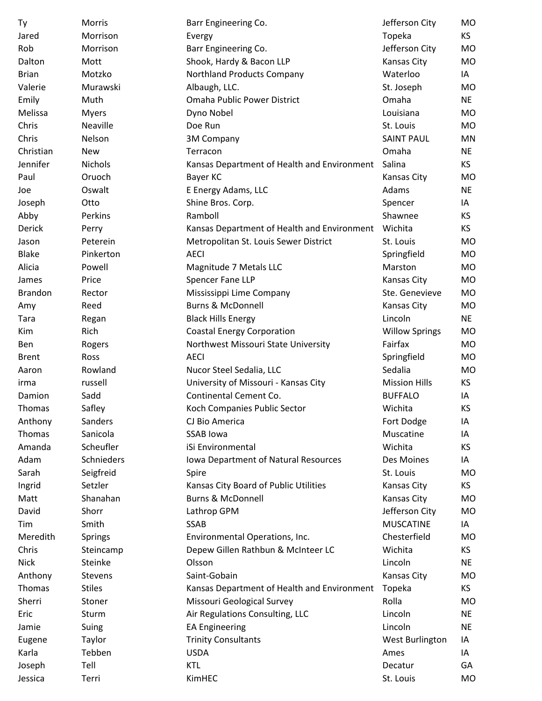| Ty             | Morris         | Barr Engineering Co.                        | Jefferson City        | MO        |
|----------------|----------------|---------------------------------------------|-----------------------|-----------|
| Jared          | Morrison       | Evergy                                      | Topeka                | KS        |
| Rob            | Morrison       | Barr Engineering Co.                        | Jefferson City        | MO        |
| Dalton         | Mott           | Shook, Hardy & Bacon LLP                    | <b>Kansas City</b>    | <b>MO</b> |
| <b>Brian</b>   | Motzko         | Northland Products Company                  | Waterloo              | IA        |
| Valerie        | Murawski       | Albaugh, LLC.                               | St. Joseph            | <b>MO</b> |
| Emily          | Muth           | Omaha Public Power District                 | Omaha                 | <b>NE</b> |
| Melissa        | <b>Myers</b>   | Dyno Nobel                                  | Louisiana             | MO        |
| Chris          | Neaville       | Doe Run                                     | St. Louis             | <b>MO</b> |
| Chris          | Nelson         | <b>3M Company</b>                           | <b>SAINT PAUL</b>     | MN        |
| Christian      | <b>New</b>     | Terracon                                    | Omaha                 | <b>NE</b> |
| Jennifer       | <b>Nichols</b> | Kansas Department of Health and Environment | Salina                | <b>KS</b> |
| Paul           | Oruoch         | Bayer KC                                    | <b>Kansas City</b>    | MO        |
| Joe            | Oswalt         | E Energy Adams, LLC                         | Adams                 | <b>NE</b> |
| Joseph         | Otto           | Shine Bros. Corp.                           | Spencer               | IA        |
| Abby           | Perkins        | Ramboll                                     | Shawnee               | KS        |
| Derick         | Perry          | Kansas Department of Health and Environment | Wichita               | KS        |
| Jason          | Peterein       | Metropolitan St. Louis Sewer District       | St. Louis             | <b>MO</b> |
| <b>Blake</b>   | Pinkerton      | <b>AECI</b>                                 | Springfield           | <b>MO</b> |
| Alicia         | Powell         | Magnitude 7 Metals LLC                      | Marston               | MO        |
| James          | Price          | Spencer Fane LLP                            | Kansas City           | MO        |
| <b>Brandon</b> | Rector         | Mississippi Lime Company                    | Ste. Genevieve        | MO.       |
| Amy            | Reed           | <b>Burns &amp; McDonnell</b>                | <b>Kansas City</b>    | MO        |
| Tara           | Regan          | <b>Black Hills Energy</b>                   | Lincoln               | <b>NE</b> |
| Kim            | Rich           | <b>Coastal Energy Corporation</b>           | <b>Willow Springs</b> | MO        |
| Ben            | Rogers         | Northwest Missouri State University         | Fairfax               | MO        |
| <b>Brent</b>   | Ross           | <b>AECI</b>                                 | Springfield           | MO        |
| Aaron          | Rowland        | Nucor Steel Sedalia, LLC                    | Sedalia               | <b>MO</b> |
| irma           | russell        | University of Missouri - Kansas City        | <b>Mission Hills</b>  | KS        |
| Damion         | Sadd           | Continental Cement Co.                      | <b>BUFFALO</b>        | IA        |
| Thomas         | Safley         | Koch Companies Public Sector                | Wichita               | KS        |
| Anthony        | Sanders        | CJ Bio America                              | Fort Dodge            | ΙA        |
| Thomas         | Sanicola       | <b>SSAB lowa</b>                            | Muscatine             | IA        |
| Amanda         | Scheufler      | iSi Environmental                           | Wichita               | KS        |
| Adam           | Schnieders     | Iowa Department of Natural Resources        | Des Moines            | IA        |
| Sarah          | Seigfreid      | Spire                                       | St. Louis             | <b>MO</b> |
| Ingrid         | Setzler        | Kansas City Board of Public Utilities       | Kansas City           | KS        |
| Matt           | Shanahan       | <b>Burns &amp; McDonnell</b>                | <b>Kansas City</b>    | MO        |
| David          | Shorr          | Lathrop GPM                                 | Jefferson City        | MO        |
| Tim            | Smith          | SSAB                                        | <b>MUSCATINE</b>      | IA        |
| Meredith       | Springs        | Environmental Operations, Inc.              | Chesterfield          | MO        |
| Chris          | Steincamp      | Depew Gillen Rathbun & McInteer LC          | Wichita               | KS        |
| <b>Nick</b>    | Steinke        | Olsson                                      | Lincoln               | <b>NE</b> |
| Anthony        | Stevens        | Saint-Gobain                                | Kansas City           | MO        |
| Thomas         | <b>Stiles</b>  | Kansas Department of Health and Environment | Topeka                | <b>KS</b> |
| Sherri         | Stoner         | Missouri Geological Survey                  | Rolla                 | MO        |
| Eric           | Sturm          | Air Regulations Consulting, LLC             | Lincoln               | <b>NE</b> |
| Jamie          | Suing          | <b>EA Engineering</b>                       | Lincoln               | <b>NE</b> |
| Eugene         | Taylor         | <b>Trinity Consultants</b>                  | West Burlington       | IA        |
| Karla          | Tebben         | <b>USDA</b>                                 | Ames                  | IA        |
| Joseph         | Tell           | <b>KTL</b>                                  | Decatur               | GA        |
| Jessica        | Terri          | KimHEC                                      | St. Louis             | MO        |
|                |                |                                             |                       |           |